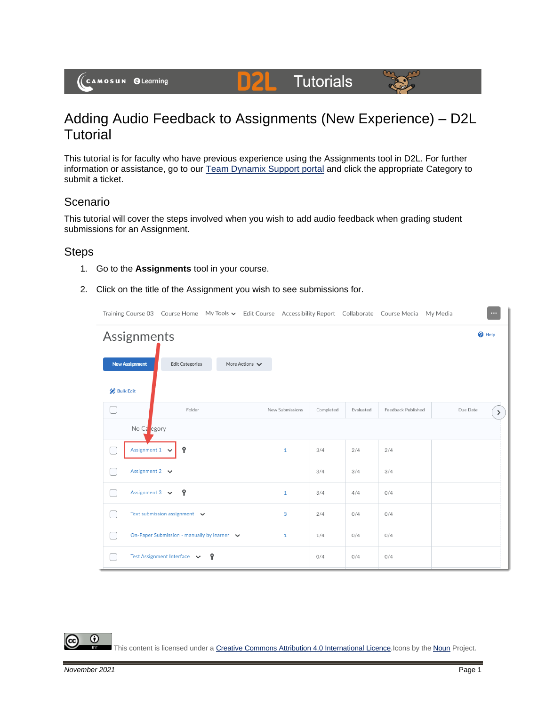## Adding Audio Feedback to Assignments (New Experience) – D2L **Tutorial**

DZ

**Tutorials** 

This tutorial is for faculty who have previous experience using the Assignments tool in D2L. For further information or assistance, go to our [Team Dynamix Support portal](https://camosun.teamdynamix.com/TDClient/67/Portal/Requests/ServiceCatalog?CategoryID=523) and click the appropriate Category to submit a ticket.

## Scenario

This tutorial will cover the steps involved when you wish to add audio feedback when grading student submissions for an Assignment.

## **Steps**

- 1. Go to the **Assignments** tool in your course.
- 2. Click on the title of the Assignment you wish to see submissions for.

|                  |                                           |                                             |  |                                    |                 |           |           | Training Course 03 Course Home My Tools ► Edit Course Accessibility Report Collaborate Course Media My Media | $\cdots$ |      |
|------------------|-------------------------------------------|---------------------------------------------|--|------------------------------------|-----------------|-----------|-----------|--------------------------------------------------------------------------------------------------------------|----------|------|
| Assignments      |                                           |                                             |  |                                    |                 |           |           | <sup>O</sup> Help                                                                                            |          |      |
|                  | <b>New Assignment</b>                     | <b>Edit Categories</b>                      |  | More Actions $\blacktriangleright$ |                 |           |           |                                                                                                              |          |      |
| <b>Bulk Edit</b> |                                           |                                             |  |                                    |                 |           |           |                                                                                                              |          |      |
| U                |                                           | Folder                                      |  |                                    | New Submissions | Completed | Evaluated | Feedback Published                                                                                           | Due Date | $\,$ |
|                  | No Ca <sub>egory</sub>                    |                                             |  |                                    |                 |           |           |                                                                                                              |          |      |
| L                | Assignment $1 \quad \vee$                 | Ŷ                                           |  |                                    | $\mathbf{1}$    | 3/4       | 2/4       | 2/4                                                                                                          |          |      |
| ⊟                | Assignment 2 $\vee$                       |                                             |  |                                    |                 | 3/4       | 3/4       | 3/4                                                                                                          |          |      |
| n                |                                           | Assignment 3 $\vee$ <b>?</b>                |  |                                    | $\mathbf{1}$    | 3/4       | 4/4       | 0/4                                                                                                          |          |      |
| ∩                |                                           | Text submission assignment $\vee$           |  |                                    | 3               | 2/4       | 0/4       | 0/4                                                                                                          |          |      |
| ┌                |                                           | On-Paper Submission - manually by learner v |  |                                    | $\mathbf{1}$    | 1/4       | 0/4       | 0/4                                                                                                          |          |      |
| 0                | Test Assignment Interface $\vee$ <b>9</b> |                                             |  |                                    |                 | 0/4       | 0/4       | 0/4                                                                                                          |          |      |

This content is licensed under [a Creative Commons Attribution 4.0 International Licence.I](https://creativecommons.org/licenses/by/4.0/)cons by the [Noun](https://creativecommons.org/website-icons/) Project.

0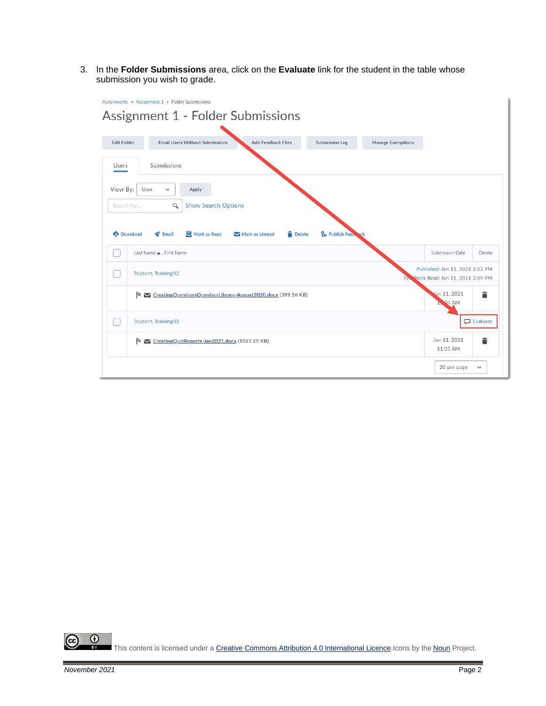3. In the **Folder Submissions** area, click on the **Evaluate** link for the student in the table whose submission you wish to grade.

| Assignments > Assignment 1 > Folder Submissions<br>Assignment 1 - Folder Submissions |                                                                                                                                                        |                      |              |  |  |  |  |
|--------------------------------------------------------------------------------------|--------------------------------------------------------------------------------------------------------------------------------------------------------|----------------------|--------------|--|--|--|--|
| <b>Edit Folder</b>                                                                   | <b>Add Feedback Files</b><br><b>Email Users Without Submissions</b><br><b>Submission Log</b><br>Manage Exemptions                                      |                      |              |  |  |  |  |
| Users                                                                                | Submissions                                                                                                                                            |                      |              |  |  |  |  |
|                                                                                      | View By:<br>User<br>$\checkmark$<br>Apply<br>Q<br><b>Show Search Options</b><br>Search For                                                             |                      |              |  |  |  |  |
| <b>Download</b>                                                                      | Mark as Read<br><b>Delete</b><br>Po Publish Feet<br>$\blacktriangledown$ Email<br>Mark as Unread                                                       |                      |              |  |  |  |  |
|                                                                                      | Last Name ▲, First Name<br>Submission Date<br>Delete<br>Published: Jan 11, 2021 3:53 PM<br>Student, Training02<br>Fee Iback Read: Jan 11, 2021 3:54 PM |                      |              |  |  |  |  |
|                                                                                      | Þ<br>CreatingQuestionsQuestionLibrary-August2020.docx (399.16 KB)                                                                                      | lan 11, 2021<br>94AM | î            |  |  |  |  |
|                                                                                      | Student, Training03<br><b>D</b> Evaluate                                                                                                               |                      |              |  |  |  |  |
|                                                                                      | î<br>Jan 11, 2021<br>CreatingQuizReports-Jan2021.docx (1023.25 KB)<br>Þ<br>11:05 AM                                                                    |                      |              |  |  |  |  |
|                                                                                      |                                                                                                                                                        | 20 per page          | $\checkmark$ |  |  |  |  |

 $\overline{0}$ <u>(କ</u> This content is licensed under [a Creative Commons Attribution 4.0 International Licence.I](https://creativecommons.org/licenses/by/4.0/)cons by the [Noun](https://creativecommons.org/website-icons/) Project.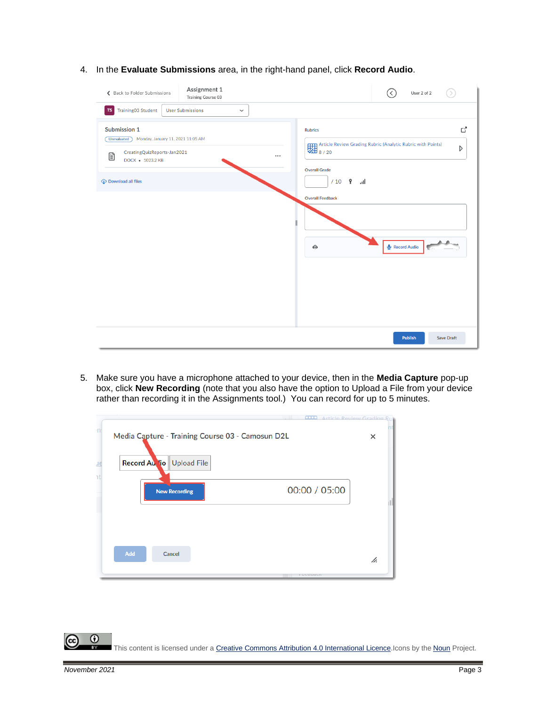4. In the **Evaluate Submissions** area, in the right-hand panel, click **Record Audio**.

| Assignment 1<br>Back to Folder Submissions<br>Training Course 03                                                                                               | User 2 of 2                                                                                                                                                                                             |
|----------------------------------------------------------------------------------------------------------------------------------------------------------------|---------------------------------------------------------------------------------------------------------------------------------------------------------------------------------------------------------|
| Training03 Student<br><b>User Submissions</b><br>TS  <br>$\checkmark$                                                                                          |                                                                                                                                                                                                         |
| Submission 1<br>Monday, January 11, 2021 11:05 AM<br><b>Unevaluated</b><br>CreatingQuizReports-Jan2021<br>Ð<br>DOCX • 1023.2 KB<br><b>C</b> Download all files | ď<br><b>Rubrics</b><br>Article Review Grading Rubric (Analytic Rubric with Points)<br>8 / 20<br>Þ<br><br><b>Overall Grade</b><br>$/10$ ?<br>اس<br><b>Overall Feedback</b><br>Record Audio<br>$\bigcirc$ |
|                                                                                                                                                                | Publish<br><b>Save Draft</b>                                                                                                                                                                            |

5. Make sure you have a microphone attached to your device, then in the **Media Capture** pop-up box, click **New Recording** (note that you also have the option to Upload a File from your device rather than recording it in the Assignments tool.) You can record for up to 5 minutes.

| Media Capture - Training Course 03 - Camosun D2L | ×             |
|--------------------------------------------------|---------------|
| Record Au lio Upload File                        |               |
| <b>New Recording</b>                             | 00:00 / 05:00 |
|                                                  |               |
|                                                  |               |
| Add<br>Cancel                                    | h.            |

 $\odot$ This content is licensed under [a Creative Commons Attribution 4.0 International Licence.I](https://creativecommons.org/licenses/by/4.0/)cons by the [Noun](https://creativecommons.org/website-icons/) Project.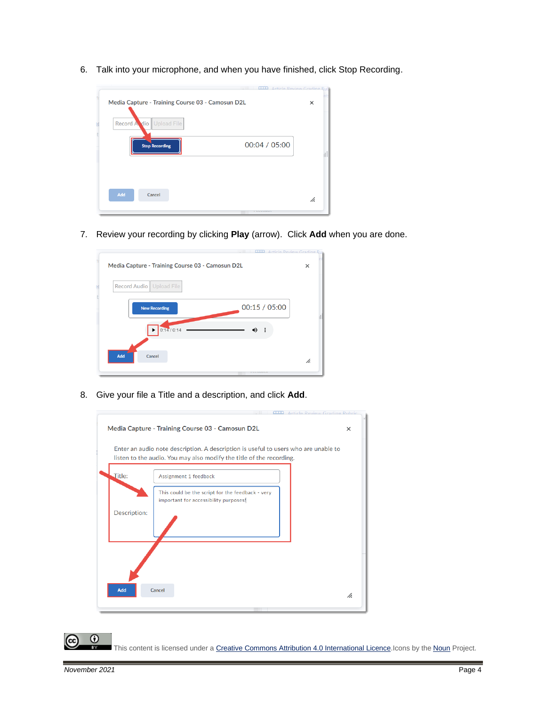6. Talk into your microphone, and when you have finished, click Stop Recording.



7. Review your recording by clicking **Play** (arrow). Click **Add** when you are done.



8. Give your file a Title and a description, and click **Add**.

| Enter an audio note description. A description is useful to users who are unable to<br>listen to the audio. You may also modify the title of the recording. |                                                                                           |    |  |
|-------------------------------------------------------------------------------------------------------------------------------------------------------------|-------------------------------------------------------------------------------------------|----|--|
| Title:                                                                                                                                                      | Assignment 1 feedback                                                                     |    |  |
| Description:                                                                                                                                                | This could be the script for the feedback - very<br>important for accessibility purposes! |    |  |
| Add                                                                                                                                                         | Cancel                                                                                    | h. |  |

This content is licensed under [a Creative Commons Attribution 4.0 International Licence.I](https://creativecommons.org/licenses/by/4.0/)cons by the [Noun](https://creativecommons.org/website-icons/) Project.

 $\odot$